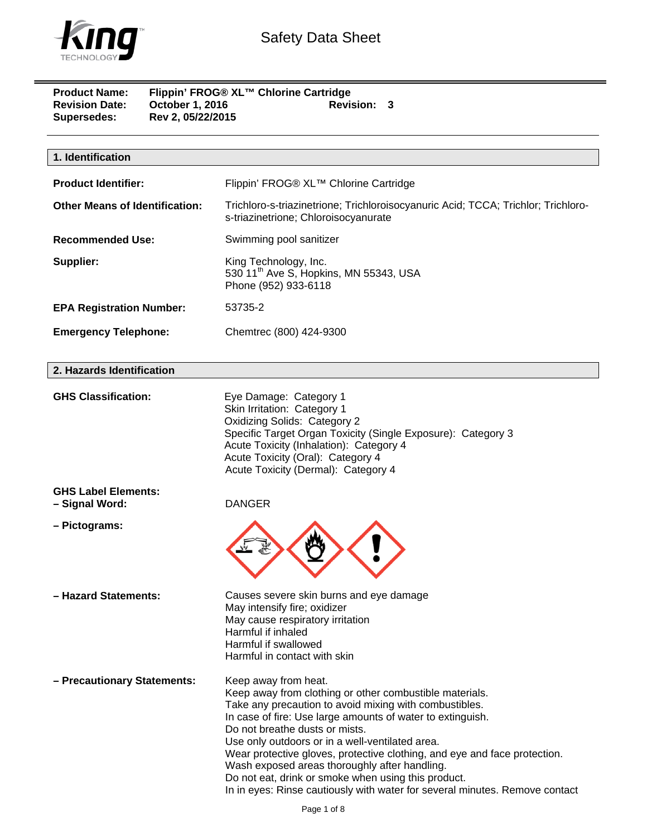

| <b>Product Name:</b><br><b>Revision Date:</b><br><b>Supersedes:</b> | October 1, 2016<br>Rev 2, 05/22/2015 | Flippin' FROG® XL™ Chlorine Cartridge<br><b>Revision: 3</b>                                                               |
|---------------------------------------------------------------------|--------------------------------------|---------------------------------------------------------------------------------------------------------------------------|
| 1. Identification                                                   |                                      |                                                                                                                           |
|                                                                     |                                      |                                                                                                                           |
| <b>Product Identifier:</b>                                          |                                      | Flippin' FROG® XL™ Chlorine Cartridge                                                                                     |
| <b>Other Means of Identification:</b>                               |                                      | Trichloro-s-triazinetrione; Trichloroisocyanuric Acid; TCCA; Trichlor; Trichloro-<br>s-triazinetrione; Chloroisocyanurate |
| <b>Recommended Use:</b>                                             |                                      | Swimming pool sanitizer                                                                                                   |
| Supplier:                                                           |                                      | King Technology, Inc.<br>530 11 <sup>th</sup> Ave S, Hopkins, MN 55343, USA<br>Phone (952) 933-6118                       |
| <b>EPA Registration Number:</b>                                     |                                      | 53735-2                                                                                                                   |
| <b>Emergency Telephone:</b>                                         |                                      | Chemtrec (800) 424-9300                                                                                                   |
| 2. Hazards Identification                                           |                                      |                                                                                                                           |

| <b>GHS Classification:</b>                   | Eye Damage: Category 1<br>Skin Irritation: Category 1<br><b>Oxidizing Solids: Category 2</b><br>Specific Target Organ Toxicity (Single Exposure): Category 3<br>Acute Toxicity (Inhalation): Category 4<br>Acute Toxicity (Oral): Category 4<br>Acute Toxicity (Dermal): Category 4                                                                                                                                                                                                                                                                              |
|----------------------------------------------|------------------------------------------------------------------------------------------------------------------------------------------------------------------------------------------------------------------------------------------------------------------------------------------------------------------------------------------------------------------------------------------------------------------------------------------------------------------------------------------------------------------------------------------------------------------|
| <b>GHS Label Elements:</b><br>- Signal Word: | <b>DANGER</b>                                                                                                                                                                                                                                                                                                                                                                                                                                                                                                                                                    |
| - Pictograms:                                |                                                                                                                                                                                                                                                                                                                                                                                                                                                                                                                                                                  |
| - Hazard Statements:                         | Causes severe skin burns and eye damage<br>May intensify fire; oxidizer<br>May cause respiratory irritation<br>Harmful if inhaled<br>Harmful if swallowed<br>Harmful in contact with skin                                                                                                                                                                                                                                                                                                                                                                        |
| - Precautionary Statements:                  | Keep away from heat.<br>Keep away from clothing or other combustible materials.<br>Take any precaution to avoid mixing with combustibles.<br>In case of fire: Use large amounts of water to extinguish.<br>Do not breathe dusts or mists.<br>Use only outdoors or in a well-ventilated area.<br>Wear protective gloves, protective clothing, and eye and face protection.<br>Wash exposed areas thoroughly after handling.<br>Do not eat, drink or smoke when using this product.<br>In in eyes: Rinse cautiously with water for several minutes. Remove contact |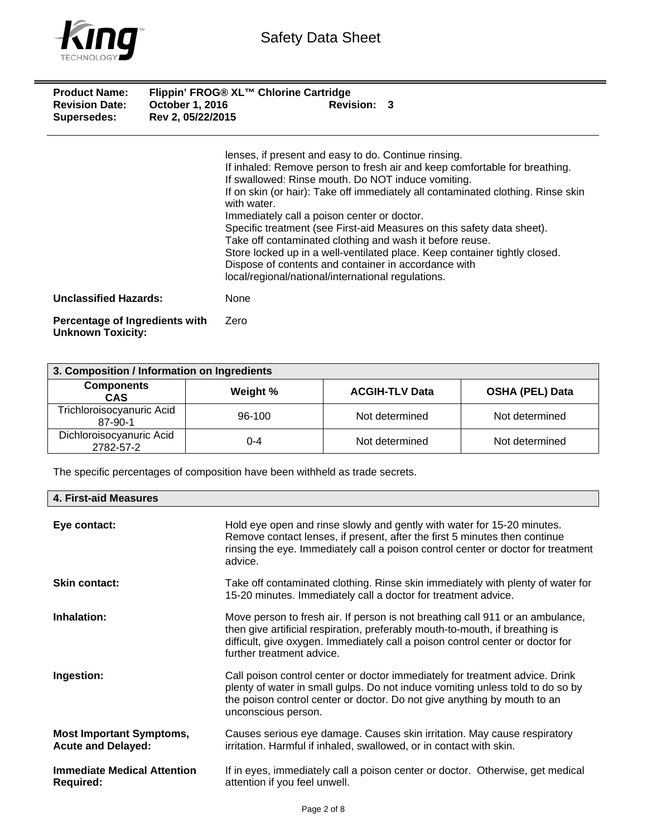

| <b>Product Name:</b><br><b>Revision Date:</b><br><b>Supersedes:</b> | Flippin' FROG® XL™ Chlorine Cartridge<br><b>Revision: 3</b><br><b>October 1, 2016</b><br>Rev 2, 05/22/2015                       |
|---------------------------------------------------------------------|----------------------------------------------------------------------------------------------------------------------------------|
|                                                                     | lenses, if present and easy to do. Continue rinsing.                                                                             |
|                                                                     | If inhaled: Remove person to fresh air and keep comfortable for breathing.<br>If swallowed: Rinse mouth. Do NOT induce vomiting. |
|                                                                     | If on skin (or hair): Take off immediately all contaminated clothing. Rinse skin<br>with water.                                  |
|                                                                     | Immediately call a poison center or doctor.                                                                                      |
|                                                                     | Specific treatment (see First-aid Measures on this safety data sheet).                                                           |
|                                                                     | Take off contaminated clothing and wash it before reuse.                                                                         |
|                                                                     | Store locked up in a well-ventilated place. Keep container tightly closed.                                                       |
|                                                                     | Dispose of contents and container in accordance with                                                                             |
|                                                                     | local/regional/national/international regulations.                                                                               |

**Unclassified Hazards:** None

**Percentage of Ingredients with Unknown Toxicity:**  Zero

| 3. Composition / Information on Ingredients |          |                       |                        |
|---------------------------------------------|----------|-----------------------|------------------------|
| <b>Components</b><br><b>CAS</b>             | Weight % | <b>ACGIH-TLV Data</b> | <b>OSHA (PEL) Data</b> |
| Trichloroisocyanuric Acid<br>87-90-1        | 96-100   | Not determined        | Not determined         |
| Dichloroisocyanuric Acid<br>2782-57-2       | 0-4      | Not determined        | Not determined         |

The specific percentages of composition have been withheld as trade secrets.

| 4. First-aid Measures                                        |                                                                                                                                                                                                                                                                               |
|--------------------------------------------------------------|-------------------------------------------------------------------------------------------------------------------------------------------------------------------------------------------------------------------------------------------------------------------------------|
| Eye contact:                                                 | Hold eye open and rinse slowly and gently with water for 15-20 minutes.<br>Remove contact lenses, if present, after the first 5 minutes then continue<br>rinsing the eye. Immediately call a poison control center or doctor for treatment<br>advice.                         |
| <b>Skin contact:</b>                                         | Take off contaminated clothing. Rinse skin immediately with plenty of water for<br>15-20 minutes. Immediately call a doctor for treatment advice.                                                                                                                             |
| Inhalation:                                                  | Move person to fresh air. If person is not breathing call 911 or an ambulance,<br>then give artificial respiration, preferably mouth-to-mouth, if breathing is<br>difficult, give oxygen. Immediately call a poison control center or doctor for<br>further treatment advice. |
| Ingestion:                                                   | Call poison control center or doctor immediately for treatment advice. Drink<br>plenty of water in small gulps. Do not induce vomiting unless told to do so by<br>the poison control center or doctor. Do not give anything by mouth to an<br>unconscious person.             |
| <b>Most Important Symptoms,</b><br><b>Acute and Delayed:</b> | Causes serious eye damage. Causes skin irritation. May cause respiratory<br>irritation. Harmful if inhaled, swallowed, or in contact with skin.                                                                                                                               |
| <b>Immediate Medical Attention</b><br><b>Required:</b>       | If in eyes, immediately call a poison center or doctor. Otherwise, get medical<br>attention if you feel unwell.                                                                                                                                                               |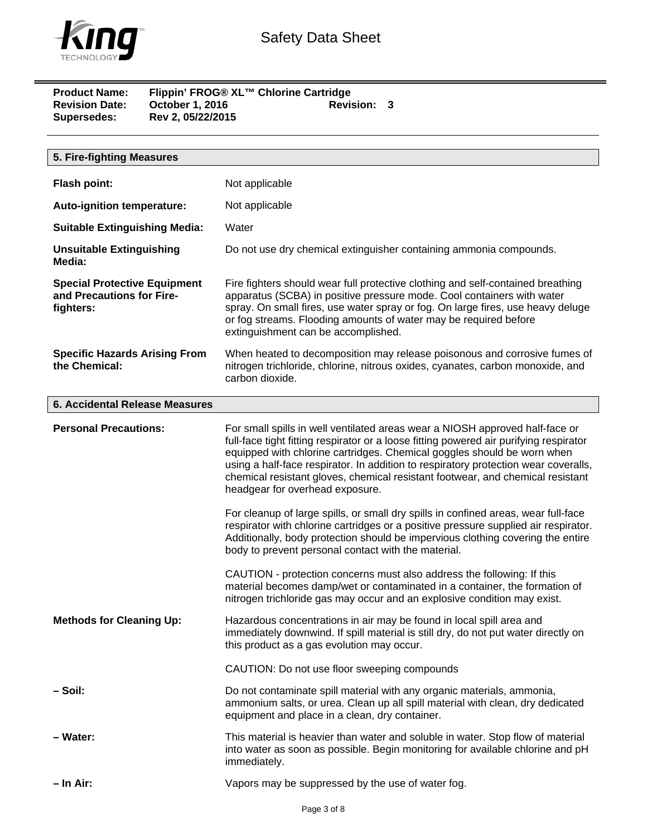

| <b>Product Name:</b>  | Flippin' FROG® XL™ Chlorine Cartridge |                    |  |
|-----------------------|---------------------------------------|--------------------|--|
| <b>Revision Date:</b> | October 1, 2016                       | <b>Revision: 3</b> |  |
| Supersedes:           | Rev 2, 05/22/2015                     |                    |  |

| 5. Fire-fighting Measures                                                     |                                                                                                                                                                                                                                                                                                                                                                                                                                                                                                                                                                                                                                                                                                                                                                                                                                                                                                                                                                                                                          |
|-------------------------------------------------------------------------------|--------------------------------------------------------------------------------------------------------------------------------------------------------------------------------------------------------------------------------------------------------------------------------------------------------------------------------------------------------------------------------------------------------------------------------------------------------------------------------------------------------------------------------------------------------------------------------------------------------------------------------------------------------------------------------------------------------------------------------------------------------------------------------------------------------------------------------------------------------------------------------------------------------------------------------------------------------------------------------------------------------------------------|
| <b>Flash point:</b>                                                           | Not applicable                                                                                                                                                                                                                                                                                                                                                                                                                                                                                                                                                                                                                                                                                                                                                                                                                                                                                                                                                                                                           |
| Auto-ignition temperature:                                                    | Not applicable                                                                                                                                                                                                                                                                                                                                                                                                                                                                                                                                                                                                                                                                                                                                                                                                                                                                                                                                                                                                           |
| <b>Suitable Extinguishing Media:</b>                                          | Water                                                                                                                                                                                                                                                                                                                                                                                                                                                                                                                                                                                                                                                                                                                                                                                                                                                                                                                                                                                                                    |
| <b>Unsuitable Extinguishing</b><br>Media:                                     | Do not use dry chemical extinguisher containing ammonia compounds.                                                                                                                                                                                                                                                                                                                                                                                                                                                                                                                                                                                                                                                                                                                                                                                                                                                                                                                                                       |
| <b>Special Protective Equipment</b><br>and Precautions for Fire-<br>fighters: | Fire fighters should wear full protective clothing and self-contained breathing<br>apparatus (SCBA) in positive pressure mode. Cool containers with water<br>spray. On small fires, use water spray or fog. On large fires, use heavy deluge<br>or fog streams. Flooding amounts of water may be required before<br>extinguishment can be accomplished.                                                                                                                                                                                                                                                                                                                                                                                                                                                                                                                                                                                                                                                                  |
| <b>Specific Hazards Arising From</b><br>the Chemical:                         | When heated to decomposition may release poisonous and corrosive fumes of<br>nitrogen trichloride, chlorine, nitrous oxides, cyanates, carbon monoxide, and<br>carbon dioxide.                                                                                                                                                                                                                                                                                                                                                                                                                                                                                                                                                                                                                                                                                                                                                                                                                                           |
| <b>6. Accidental Release Measures</b>                                         |                                                                                                                                                                                                                                                                                                                                                                                                                                                                                                                                                                                                                                                                                                                                                                                                                                                                                                                                                                                                                          |
| <b>Personal Precautions:</b>                                                  | For small spills in well ventilated areas wear a NIOSH approved half-face or<br>full-face tight fitting respirator or a loose fitting powered air purifying respirator<br>equipped with chlorine cartridges. Chemical goggles should be worn when<br>using a half-face respirator. In addition to respiratory protection wear coveralls,<br>chemical resistant gloves, chemical resistant footwear, and chemical resistant<br>headgear for overhead exposure.<br>For cleanup of large spills, or small dry spills in confined areas, wear full-face<br>respirator with chlorine cartridges or a positive pressure supplied air respirator.<br>Additionally, body protection should be impervious clothing covering the entire<br>body to prevent personal contact with the material.<br>CAUTION - protection concerns must also address the following: If this<br>material becomes damp/wet or contaminated in a container, the formation of<br>nitrogen trichloride gas may occur and an explosive condition may exist. |
| <b>Methods for Cleaning Up:</b>                                               | Hazardous concentrations in air may be found in local spill area and<br>immediately downwind. If spill material is still dry, do not put water directly on<br>this product as a gas evolution may occur.<br>CAUTION: Do not use floor sweeping compounds                                                                                                                                                                                                                                                                                                                                                                                                                                                                                                                                                                                                                                                                                                                                                                 |
| – Soil:                                                                       | Do not contaminate spill material with any organic materials, ammonia,<br>ammonium salts, or urea. Clean up all spill material with clean, dry dedicated<br>equipment and place in a clean, dry container.                                                                                                                                                                                                                                                                                                                                                                                                                                                                                                                                                                                                                                                                                                                                                                                                               |
| - Water:                                                                      | This material is heavier than water and soluble in water. Stop flow of material<br>into water as soon as possible. Begin monitoring for available chlorine and pH<br>immediately.                                                                                                                                                                                                                                                                                                                                                                                                                                                                                                                                                                                                                                                                                                                                                                                                                                        |
| – In Air:                                                                     | Vapors may be suppressed by the use of water fog.                                                                                                                                                                                                                                                                                                                                                                                                                                                                                                                                                                                                                                                                                                                                                                                                                                                                                                                                                                        |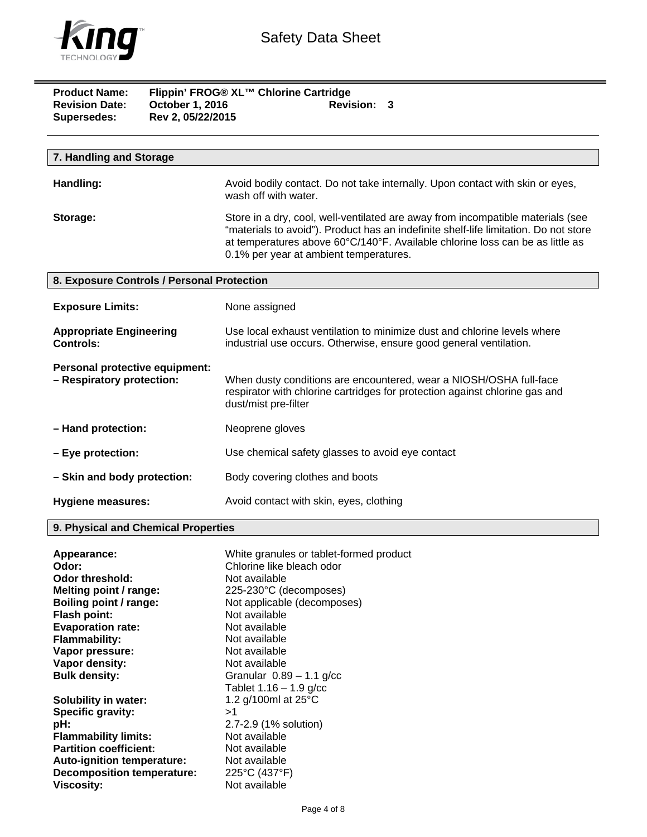

| <b>Product Name:</b><br><b>Revision Date:</b><br><b>Supersedes:</b> | October 1, 2016<br>Rev 2, 05/22/2015 | Flippin' FROG® XL™ Chlorine Cartridge<br>Revision: 3                                                                                                                                                                                                                                               |
|---------------------------------------------------------------------|--------------------------------------|----------------------------------------------------------------------------------------------------------------------------------------------------------------------------------------------------------------------------------------------------------------------------------------------------|
|                                                                     |                                      |                                                                                                                                                                                                                                                                                                    |
| 7. Handling and Storage                                             |                                      |                                                                                                                                                                                                                                                                                                    |
| Handling:                                                           |                                      | Avoid bodily contact. Do not take internally. Upon contact with skin or eyes,<br>wash off with water.                                                                                                                                                                                              |
| Storage:                                                            |                                      | Store in a dry, cool, well-ventilated are away from incompatible materials (see<br>"materials to avoid"). Product has an indefinite shelf-life limitation. Do not store<br>at temperatures above 60°C/140°F. Available chlorine loss can be as little as<br>0.1% per year at ambient temperatures. |
| 8. Exposure Controls / Personal Protection                          |                                      |                                                                                                                                                                                                                                                                                                    |
| <b>Exposure Limits:</b>                                             |                                      | None assigned                                                                                                                                                                                                                                                                                      |
| <b>Appropriate Engineering</b><br><b>Controls:</b>                  |                                      | Use local exhaust ventilation to minimize dust and chlorine levels where<br>industrial use occurs. Otherwise, ensure good general ventilation.                                                                                                                                                     |
| Personal protective equipment:<br>- Respiratory protection:         |                                      | When dusty conditions are encountered, wear a NIOSH/OSHA full-face<br>respirator with chlorine cartridges for protection against chlorine gas and<br>dust/mist pre-filter                                                                                                                          |
| - Hand protection:                                                  |                                      | Neoprene gloves                                                                                                                                                                                                                                                                                    |
| - Eye protection:                                                   |                                      | Use chemical safety glasses to avoid eye contact                                                                                                                                                                                                                                                   |
| - Skin and body protection:                                         |                                      | Body covering clothes and boots                                                                                                                                                                                                                                                                    |
| <b>Hygiene measures:</b>                                            |                                      | Avoid contact with skin, eyes, clothing                                                                                                                                                                                                                                                            |

# **9. Physical and Chemical Properties**

| Appearance:                       | White granules or tablet-formed product |
|-----------------------------------|-----------------------------------------|
| Odor:                             | Chlorine like bleach odor               |
| Odor threshold:                   | Not available                           |
| Melting point / range:            | 225-230°C (decomposes)                  |
| Boiling point / range:            | Not applicable (decomposes)             |
| <b>Flash point:</b>               | Not available                           |
| <b>Evaporation rate:</b>          | Not available                           |
| <b>Flammability:</b>              | Not available                           |
| Vapor pressure:                   | Not available                           |
| Vapor density:                    | Not available                           |
| <b>Bulk density:</b>              | Granular $0.89 - 1.1$ g/cc              |
|                                   | Tablet $1.16 - 1.9$ g/cc                |
| <b>Solubility in water:</b>       | 1.2 g/100ml at 25°C                     |
| Specific gravity:                 | >1                                      |
| pH:                               | 2.7-2.9 (1% solution)                   |
| <b>Flammability limits:</b>       | Not available                           |
| <b>Partition coefficient:</b>     | Not available                           |
| <b>Auto-ignition temperature:</b> | Not available                           |
| <b>Decomposition temperature:</b> | 225°C (437°F)                           |
| Viscosity:                        | Not available                           |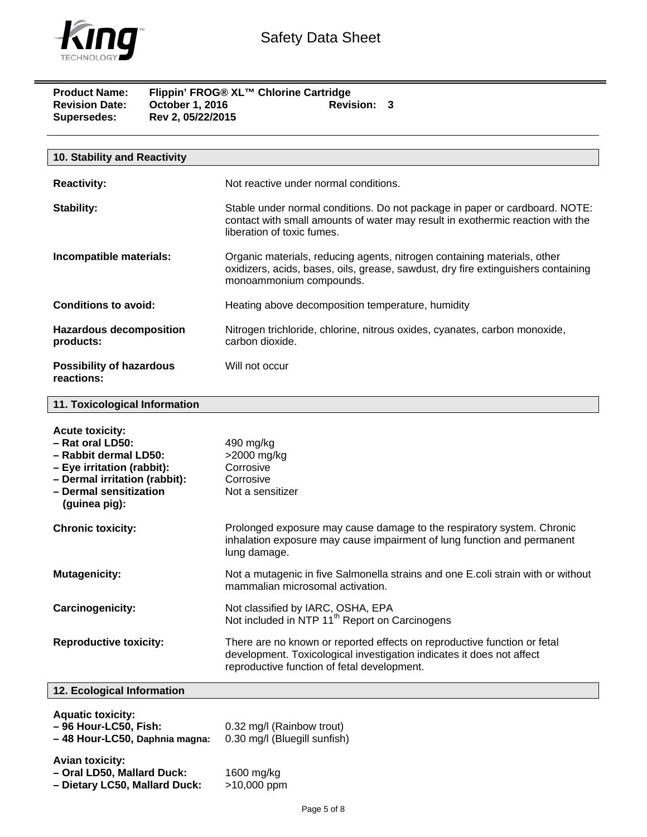

| <b>Product Name:</b><br><b>Revision Date:</b><br>Supersedes: | Flippin' FROG® XL™ Chlorine Cartridge<br><b>October 1, 2016</b><br>Rev 2, 05/22/2015 | <b>Revision: 3</b> |  |
|--------------------------------------------------------------|--------------------------------------------------------------------------------------|--------------------|--|
|                                                              |                                                                                      |                    |  |

| 10. Stability and Reactivity                  |                                                                                                                                                                                             |
|-----------------------------------------------|---------------------------------------------------------------------------------------------------------------------------------------------------------------------------------------------|
| <b>Reactivity:</b>                            | Not reactive under normal conditions.                                                                                                                                                       |
| <b>Stability:</b>                             | Stable under normal conditions. Do not package in paper or cardboard. NOTE:<br>contact with small amounts of water may result in exothermic reaction with the<br>liberation of toxic fumes. |
| Incompatible materials:                       | Organic materials, reducing agents, nitrogen containing materials, other<br>oxidizers, acids, bases, oils, grease, sawdust, dry fire extinguishers containing<br>monoammonium compounds.    |
| Conditions to avoid:                          | Heating above decomposition temperature, humidity                                                                                                                                           |
| <b>Hazardous decomposition</b><br>products:   | Nitrogen trichloride, chlorine, nitrous oxides, cyanates, carbon monoxide,<br>carbon dioxide.                                                                                               |
| <b>Possibility of hazardous</b><br>reactions: | Will not occur                                                                                                                                                                              |

## **11. Toxicological Information**

| <b>Acute toxicity:</b><br>$-$ Rat oral LD50:<br>- Rabbit dermal LD50:<br>- Eye irritation (rabbit):<br>- Dermal irritation (rabbit):<br>- Dermal sensitization<br>(guinea pig): | 490 mg/kg<br>>2000 mg/kg<br>Corrosive<br>Corrosive<br>Not a sensitizer                                                                                                                           |
|---------------------------------------------------------------------------------------------------------------------------------------------------------------------------------|--------------------------------------------------------------------------------------------------------------------------------------------------------------------------------------------------|
| <b>Chronic toxicity:</b>                                                                                                                                                        | Prolonged exposure may cause damage to the respiratory system. Chronic<br>inhalation exposure may cause impairment of lung function and permanent<br>lung damage.                                |
| <b>Mutagenicity:</b>                                                                                                                                                            | Not a mutagenic in five Salmonella strains and one E.coli strain with or without<br>mammalian microsomal activation.                                                                             |
| Carcinogenicity:                                                                                                                                                                | Not classified by IARC, OSHA, EPA<br>Not included in NTP 11 <sup>th</sup> Report on Carcinogens                                                                                                  |
| <b>Reproductive toxicity:</b>                                                                                                                                                   | There are no known or reported effects on reproductive function or fetal<br>development. Toxicological investigation indicates it does not affect<br>reproductive function of fetal development. |
| 12. Ecological Information                                                                                                                                                      |                                                                                                                                                                                                  |
| <b>Aquatic toxicity:</b><br>- 96 Hour-LC50, Fish:<br>-48 Hour-LC50, Daphnia magna:                                                                                              | 0.32 mg/l (Rainbow trout)<br>0.30 mg/l (Bluegill sunfish)                                                                                                                                        |
| <b>Avian toxicity:</b><br>- Oral LD50, Mallard Duck:<br>- Dietary LC50, Mallard Duck:                                                                                           | 1600 mg/kg<br>>10,000 ppm                                                                                                                                                                        |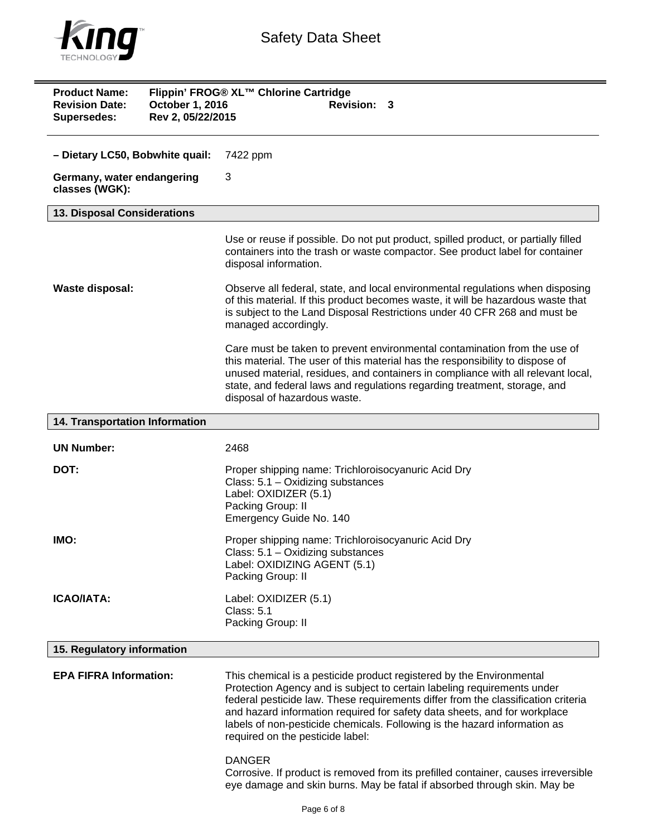

| <b>Product Name:</b><br>Flippin' FROG® XL™ Chlorine Cartridge<br><b>Revision Date:</b><br>October 1, 2016<br>Revision: 3<br>Rev 2, 05/22/2015<br><b>Supersedes:</b> |                                                                                                                                                                                                                                                                                                                                                                                                                                    |  |
|---------------------------------------------------------------------------------------------------------------------------------------------------------------------|------------------------------------------------------------------------------------------------------------------------------------------------------------------------------------------------------------------------------------------------------------------------------------------------------------------------------------------------------------------------------------------------------------------------------------|--|
| - Dietary LC50, Bobwhite quail:                                                                                                                                     | 7422 ppm                                                                                                                                                                                                                                                                                                                                                                                                                           |  |
| Germany, water endangering<br>classes (WGK):                                                                                                                        | 3                                                                                                                                                                                                                                                                                                                                                                                                                                  |  |
| 13. Disposal Considerations                                                                                                                                         |                                                                                                                                                                                                                                                                                                                                                                                                                                    |  |
|                                                                                                                                                                     | Use or reuse if possible. Do not put product, spilled product, or partially filled<br>containers into the trash or waste compactor. See product label for container<br>disposal information.                                                                                                                                                                                                                                       |  |
| <b>Waste disposal:</b>                                                                                                                                              | Observe all federal, state, and local environmental regulations when disposing<br>of this material. If this product becomes waste, it will be hazardous waste that<br>is subject to the Land Disposal Restrictions under 40 CFR 268 and must be<br>managed accordingly.                                                                                                                                                            |  |
|                                                                                                                                                                     | Care must be taken to prevent environmental contamination from the use of<br>this material. The user of this material has the responsibility to dispose of<br>unused material, residues, and containers in compliance with all relevant local,<br>state, and federal laws and regulations regarding treatment, storage, and<br>disposal of hazardous waste.                                                                        |  |
| 14. Transportation Information                                                                                                                                      |                                                                                                                                                                                                                                                                                                                                                                                                                                    |  |
| <b>UN Number:</b>                                                                                                                                                   | 2468                                                                                                                                                                                                                                                                                                                                                                                                                               |  |
| DOT:                                                                                                                                                                | Proper shipping name: Trichloroisocyanuric Acid Dry<br>Class: 5.1 - Oxidizing substances<br>Label: OXIDIZER (5.1)<br>Packing Group: II<br>Emergency Guide No. 140                                                                                                                                                                                                                                                                  |  |
| IMO:                                                                                                                                                                | Proper shipping name: Trichloroisocyanuric Acid Dry<br>Class: 5.1 - Oxidizing substances<br>Label: OXIDIZING AGENT (5.1)<br>Packing Group: II                                                                                                                                                                                                                                                                                      |  |
| <b>ICAO/IATA:</b>                                                                                                                                                   | Label: OXIDIZER (5.1)<br><b>Class: 5.1</b><br>Packing Group: II                                                                                                                                                                                                                                                                                                                                                                    |  |
| 15. Regulatory information                                                                                                                                          |                                                                                                                                                                                                                                                                                                                                                                                                                                    |  |
| <b>EPA FIFRA Information:</b>                                                                                                                                       | This chemical is a pesticide product registered by the Environmental<br>Protection Agency and is subject to certain labeling requirements under<br>federal pesticide law. These requirements differ from the classification criteria<br>and hazard information required for safety data sheets, and for workplace<br>labels of non-pesticide chemicals. Following is the hazard information as<br>required on the pesticide label: |  |
|                                                                                                                                                                     | <b>DANGER</b><br>Corrosive. If product is removed from its prefilled container, causes irreversible<br>eye damage and skin burns. May be fatal if absorbed through skin. May be                                                                                                                                                                                                                                                    |  |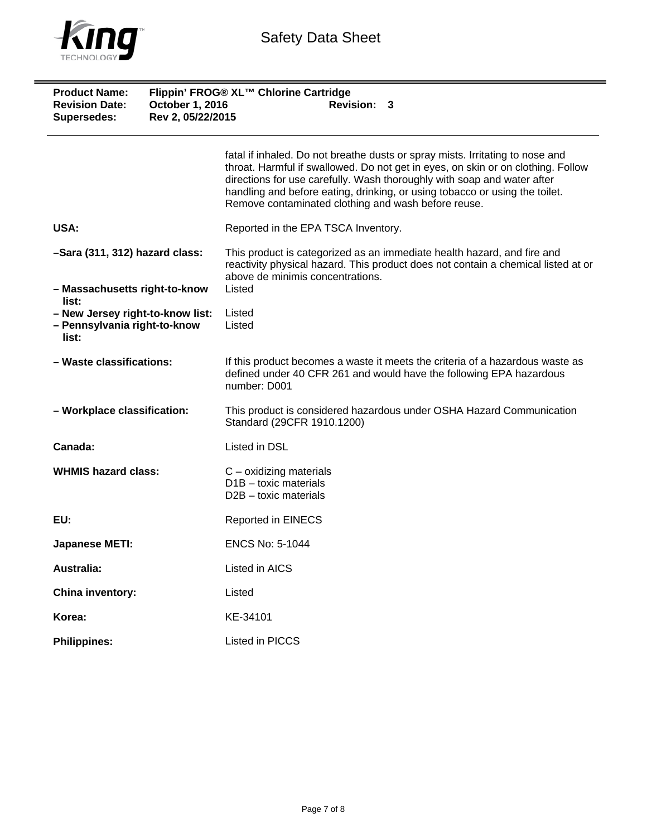

| <b>Product Name:</b><br><b>Revision Date:</b><br>Supersedes:              | Flippin' FROG® XL™ Chlorine Cartridge<br>October 1, 2016<br><b>Revision: 3</b><br>Rev 2, 05/22/2015 |                                                                                                                                                                                                                                                                                                                                                                                    |
|---------------------------------------------------------------------------|-----------------------------------------------------------------------------------------------------|------------------------------------------------------------------------------------------------------------------------------------------------------------------------------------------------------------------------------------------------------------------------------------------------------------------------------------------------------------------------------------|
|                                                                           |                                                                                                     | fatal if inhaled. Do not breathe dusts or spray mists. Irritating to nose and<br>throat. Harmful if swallowed. Do not get in eyes, on skin or on clothing. Follow<br>directions for use carefully. Wash thoroughly with soap and water after<br>handling and before eating, drinking, or using tobacco or using the toilet.<br>Remove contaminated clothing and wash before reuse. |
| USA:                                                                      |                                                                                                     | Reported in the EPA TSCA Inventory.                                                                                                                                                                                                                                                                                                                                                |
| -Sara (311, 312) hazard class:<br>- Massachusetts right-to-know           |                                                                                                     | This product is categorized as an immediate health hazard, and fire and<br>reactivity physical hazard. This product does not contain a chemical listed at or<br>above de minimis concentrations.<br>Listed                                                                                                                                                                         |
| list:                                                                     |                                                                                                     |                                                                                                                                                                                                                                                                                                                                                                                    |
| - New Jersey right-to-know list:<br>- Pennsylvania right-to-know<br>list: |                                                                                                     | Listed<br>Listed                                                                                                                                                                                                                                                                                                                                                                   |
| - Waste classifications:                                                  |                                                                                                     | If this product becomes a waste it meets the criteria of a hazardous waste as<br>defined under 40 CFR 261 and would have the following EPA hazardous<br>number: D001                                                                                                                                                                                                               |
| - Workplace classification:                                               |                                                                                                     | This product is considered hazardous under OSHA Hazard Communication<br>Standard (29CFR 1910.1200)                                                                                                                                                                                                                                                                                 |
| Canada:                                                                   |                                                                                                     | Listed in DSL                                                                                                                                                                                                                                                                                                                                                                      |
| <b>WHMIS hazard class:</b>                                                |                                                                                                     | $C$ – oxidizing materials<br>$D1B -$ toxic materials<br>$D2B -$ toxic materials                                                                                                                                                                                                                                                                                                    |
| EU:                                                                       |                                                                                                     | <b>Reported in EINECS</b>                                                                                                                                                                                                                                                                                                                                                          |
| <b>Japanese METI:</b>                                                     |                                                                                                     | <b>ENCS No: 5-1044</b>                                                                                                                                                                                                                                                                                                                                                             |
| <b>Australia:</b>                                                         |                                                                                                     | Listed in AICS                                                                                                                                                                                                                                                                                                                                                                     |
| China inventory:                                                          |                                                                                                     | Listed                                                                                                                                                                                                                                                                                                                                                                             |
| Korea:                                                                    |                                                                                                     | KE-34101                                                                                                                                                                                                                                                                                                                                                                           |
| <b>Philippines:</b>                                                       |                                                                                                     | Listed in PICCS                                                                                                                                                                                                                                                                                                                                                                    |